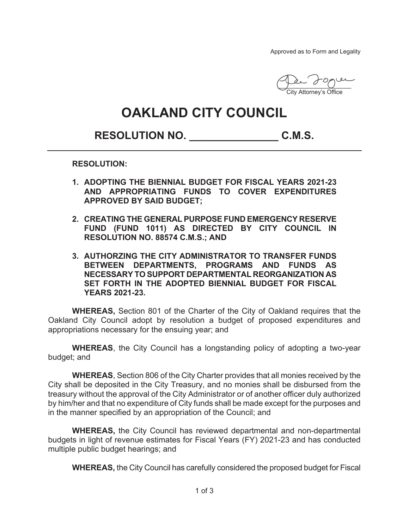Approved as to Form and Legality

Per 2000 City Attorney's Office

## **OAKLAND CITY COUNCIL**

## **RESOLUTION NO. \_\_\_\_\_\_\_\_\_\_\_\_\_\_\_ C.M.S.**

**RESOLUTION:** 

- **1. ADOPTING THE BIENNIAL BUDGET FOR FISCAL YEARS 2021-23 AND APPROPRIATING FUNDS TO COVER EXPENDITURES APPROVED BY SAID BUDGET;**
- **2. CREATING THE GENERAL PURPOSE FUND EMERGENCY RESERVE FUND (FUND 1011) AS DIRECTED BY CITY COUNCIL IN RESOLUTION NO. 88574 C.M.S.; AND**
- **3. AUTHORZING THE CITY ADMINISTRATOR TO TRANSFER FUNDS BETWEEN DEPARTMENTS, PROGRAMS AND FUNDS AS NECESSARY TO SUPPORT DEPARTMENTAL REORGANIZATION AS SET FORTH IN THE ADOPTED BIENNIAL BUDGET FOR FISCAL YEARS 2021-23.**

**WHEREAS,** Section 801 of the Charter of the City of Oakland requires that the Oakland City Council adopt by resolution a budget of proposed expenditures and appropriations necessary for the ensuing year; and

**WHEREAS**, the City Council has a longstanding policy of adopting a two-year budget; and

**WHEREAS**, Section 806 of the City Charter provides that all monies received by the City shall be deposited in the City Treasury, and no monies shall be disbursed from the treasury without the approval of the City Administrator or of another officer duly authorized by him/her and that no expenditure of City funds shall be made except for the purposes and in the manner specified by an appropriation of the Council; and

**WHEREAS,** the City Council has reviewed departmental and non-departmental budgets in light of revenue estimates for Fiscal Years (FY) 2021-23 and has conducted multiple public budget hearings; and

**WHEREAS,** the City Council has carefully considered the proposed budget for Fiscal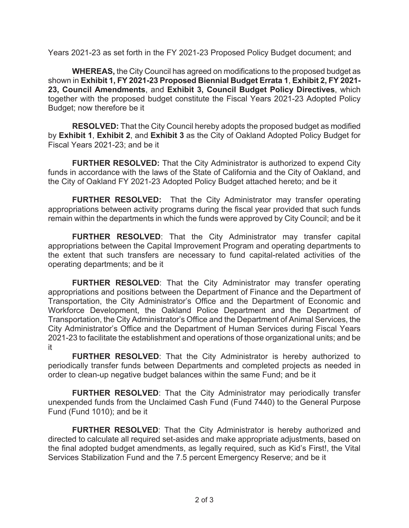Years 2021-23 as set forth in the FY 2021-23 Proposed Policy Budget document; and

**WHEREAS,** the City Council has agreed on modifications to the proposed budget as shown in **Exhibit 1, FY 2021-23 Proposed Biennial Budget Errata 1**, **Exhibit 2, FY 2021- 23, Council Amendments**, and **Exhibit 3, Council Budget Policy Directives**, which together with the proposed budget constitute the Fiscal Years 2021-23 Adopted Policy Budget; now therefore be it

**RESOLVED:** That the City Council hereby adopts the proposed budget as modified by **Exhibit 1**, **Exhibit 2**, and **Exhibit 3** as the City of Oakland Adopted Policy Budget for Fiscal Years 2021-23; and be it

**FURTHER RESOLVED:** That the City Administrator is authorized to expend City funds in accordance with the laws of the State of California and the City of Oakland, and the City of Oakland FY 2021-23 Adopted Policy Budget attached hereto; and be it

**FURTHER RESOLVED:** That the City Administrator may transfer operating appropriations between activity programs during the fiscal year provided that such funds remain within the departments in which the funds were approved by City Council; and be it

**FURTHER RESOLVED**: That the City Administrator may transfer capital appropriations between the Capital Improvement Program and operating departments to the extent that such transfers are necessary to fund capital-related activities of the operating departments; and be it

**FURTHER RESOLVED**: That the City Administrator may transfer operating appropriations and positions between the Department of Finance and the Department of Transportation, the City Administrator's Office and the Department of Economic and Workforce Development, the Oakland Police Department and the Department of Transportation, the City Administrator's Office and the Department of Animal Services, the City Administrator's Office and the Department of Human Services during Fiscal Years 2021-23 to facilitate the establishment and operations of those organizational units; and be it

**FURTHER RESOLVED**: That the City Administrator is hereby authorized to periodically transfer funds between Departments and completed projects as needed in order to clean-up negative budget balances within the same Fund; and be it

**FURTHER RESOLVED**: That the City Administrator may periodically transfer unexpended funds from the Unclaimed Cash Fund (Fund 7440) to the General Purpose Fund (Fund 1010); and be it

**FURTHER RESOLVED**: That the City Administrator is hereby authorized and directed to calculate all required set-asides and make appropriate adjustments, based on the final adopted budget amendments, as legally required, such as Kid's First!, the Vital Services Stabilization Fund and the 7.5 percent Emergency Reserve; and be it